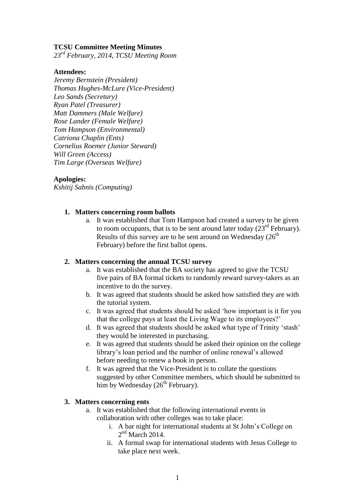## **TCSU Committee Meeting Minutes**

*23rd February, 2014, TCSU Meeting Room*

#### **Attendees:**

*Jeremy Bernstein (President) Thomas Hughes-McLure (Vice-President) Leo Sands (Secretary) Ryan Patel (Treasurer) Matt Dammers (Male Welfare) Rose Lander (Female Welfare) Tom Hampson (Environmental) Catriona Chaplin (Ents) Cornelius Roemer (Junior Steward) Will Green (Access) Tim Large (Overseas Welfare)*

#### **Apologies:**

*Kshitij Sabnis (Computing)*

### **1. Matters concerning room ballots**

a. It was established that Tom Hampson had created a survey to be given to room occupants, that is to be sent around later today  $(23<sup>rd</sup>$  February). Results of this survey are to be sent around on Wednesday  $(26<sup>th</sup>$ February) before the first ballot opens.

### **2. Matters concerning the annual TCSU survey**

- a. It was established that the BA society has agreed to give the TCSU five pairs of BA formal tickets to randomly reward survey-takers as an incentive to do the survey.
- b. It was agreed that students should be asked how satisfied they are with the tutorial system.
- c. It was agreed that students should be asked 'how important is it for you that the college pays at least the Living Wage to its employees?'
- d. It was agreed that students should be asked what type of Trinity 'stash' they would be interested in purchasing.
- e. It was agreed that students should be asked their opinion on the college library's loan period and the number of online renewal's allowed before needing to renew a book in person.
- f. It was agreed that the Vice-President is to collate the questions suggested by other Committee members, which should be submitted to him by Wednesday  $(26<sup>th</sup>$  February).

## **3. Matters concerning ents**

- a. It was established that the following international events in collaboration with other colleges was to take place:
	- i. A bar night for international students at St John's College on  $2<sup>nd</sup>$  March 2014.
	- ii. A formal swap for international students with Jesus College to take place next week.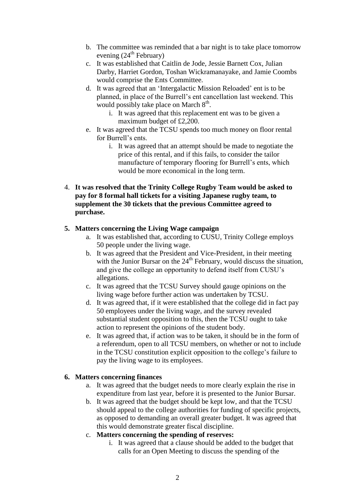- b. The committee was reminded that a bar night is to take place tomorrow evening  $(24^{\text{th}})$  February)
- c. It was established that Caitlin de Jode, Jessie Barnett Cox, Julian Darby, Harriet Gordon, Toshan Wickramanayake, and Jamie Coombs would comprise the Ents Committee.
- d. It was agreed that an 'Intergalactic Mission Reloaded' ent is to be planned, in place of the Burrell's ent cancellation last weekend. This would possibly take place on March  $8<sup>th</sup>$ .
	- i. It was agreed that this replacement ent was to be given a maximum budget of £2,200.
- e. It was agreed that the TCSU spends too much money on floor rental for Burrell's ents.
	- i. It was agreed that an attempt should be made to negotiate the price of this rental, and if this fails, to consider the tailor manufacture of temporary flooring for Burrell's ents, which would be more economical in the long term.
- 4. **It was resolved that the Trinity College Rugby Team would be asked to pay for 8 formal hall tickets for a visiting Japanese rugby team, to supplement the 30 tickets that the previous Committee agreed to purchase.**

# **5. Matters concerning the Living Wage campaign**

- a. It was established that, according to CUSU, Trinity College employs 50 people under the living wage.
- b. It was agreed that the President and Vice-President, in their meeting with the Junior Bursar on the  $24<sup>th</sup>$  February, would discuss the situation, and give the college an opportunity to defend itself from CUSU's allegations.
- c. It was agreed that the TCSU Survey should gauge opinions on the living wage before further action was undertaken by TCSU.
- d. It was agreed that, if it were established that the college did in fact pay 50 employees under the living wage, and the survey revealed substantial student opposition to this, then the TCSU ought to take action to represent the opinions of the student body.
- e. It was agreed that, if action was to be taken, it should be in the form of a referendum, open to all TCSU members, on whether or not to include in the TCSU constitution explicit opposition to the college's failure to pay the living wage to its employees.

## **6. Matters concerning finances**

- a. It was agreed that the budget needs to more clearly explain the rise in expenditure from last year, before it is presented to the Junior Bursar.
- b. It was agreed that the budget should be kept low, and that the TCSU should appeal to the college authorities for funding of specific projects, as opposed to demanding an overall greater budget. It was agreed that this would demonstrate greater fiscal discipline.
- c. **Matters concerning the spending of reserves:**
	- i. It was agreed that a clause should be added to the budget that calls for an Open Meeting to discuss the spending of the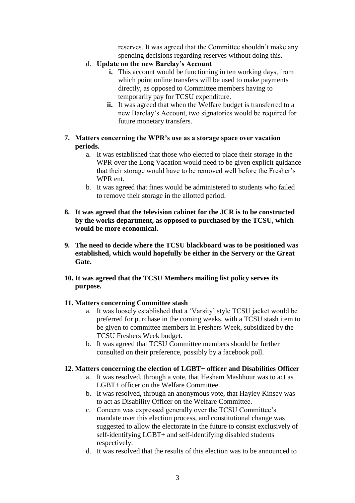reserves. It was agreed that the Committee shouldn't make any spending decisions regarding reserves without doing this.

- d. **Update on the new Barclay's Account**
	- **i.** This account would be functioning in ten working days, from which point online transfers will be used to make payments directly, as opposed to Committee members having to temporarily pay for TCSU expenditure.
	- **ii.** It was agreed that when the Welfare budget is transferred to a new Barclay's Account, two signatories would be required for future monetary transfers.
- **7. Matters concerning the WPR's use as a storage space over vacation periods.**
	- a. It was established that those who elected to place their storage in the WPR over the Long Vacation would need to be given explicit guidance that their storage would have to be removed well before the Fresher's WPR ent.
	- b. It was agreed that fines would be administered to students who failed to remove their storage in the allotted period.
- **8. It was agreed that the television cabinet for the JCR is to be constructed by the works department, as opposed to purchased by the TCSU, which would be more economical.**
- **9. The need to decide where the TCSU blackboard was to be positioned was established, which would hopefully be either in the Servery or the Great Gate.**
- **10. It was agreed that the TCSU Members mailing list policy serves its purpose.**

## **11. Matters concerning Committee stash**

- a. It was loosely established that a 'Varsity' style TCSU jacket would be preferred for purchase in the coming weeks, with a TCSU stash item to be given to committee members in Freshers Week, subsidized by the TCSU Freshers Week budget.
- b. It was agreed that TCSU Committee members should be further consulted on their preference, possibly by a facebook poll.

## **12. Matters concerning the election of LGBT+ officer and Disabilities Officer**

- a. It was resolved, through a vote, that Hesham Mashhour was to act as LGBT+ officer on the Welfare Committee.
- b. It was resolved, through an anonymous vote, that Hayley Kinsey was to act as Disability Officer on the Welfare Committee.
- c. Concern was expressed generally over the TCSU Committee's mandate over this election process, and constitutional change was suggested to allow the electorate in the future to consist exclusively of self-identifying LGBT+ and self-identifying disabled students respectively.
- d. It was resolved that the results of this election was to be announced to